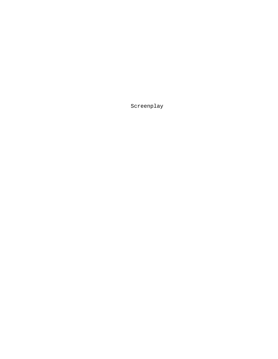Screenplay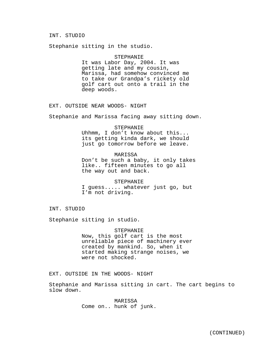## INT. STUDIO

Stephanie sitting in the studio.

#### STEPHANIE

It was Labor Day, 2004. It was getting late and my cousin, Marissa, had somehow convinced me to take our Grandpa's rickety old golf cart out onto a trail in the deep woods.

EXT. OUTSIDE NEAR WOODS- NIGHT

Stephanie and Marissa facing away sitting down.

### STEPHANIE

Uhhmm, I don't know about this... its getting kinda dark, we should just go tomorrow before we leave.

## MARISSA

Don't be such a baby, it only takes like.. fifteen minutes to go all the way out and back.

# STEPHANIE

I guess..... whatever just go, but I'm not driving.

INT. STUDIO

Stephanie sitting in studio.

#### STEPHANIE

Now, this golf cart is the most unreliable piece of machinery ever created by mankind. So, when it started making strange noises, we were not shocked.

## EXT. OUTSIDE IN THE WOODS- NIGHT

Stephanie and Marissa sitting in cart. The cart begins to slow down.

> MARISSA Come on.. hunk of junk.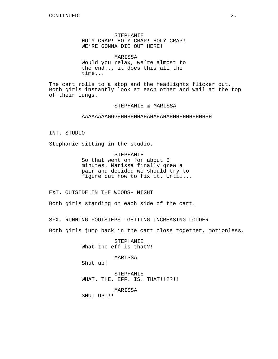STEPHANIE HOLY CRAP! HOLY CRAP! HOLY CRAP! WE'RE GONNA DIE OUT HERE!

MARISSA Would you relax, we're almost to the end... it does this all the time...

The cart rolls to a stop and the headlights flicker out. Both girls instantly look at each other and wail at the top of their lungs.

### STEPHANIE & MARISSA

### AAAAAAAAGGGHHHHHHHAHAHAHAHAHHHHHHHHHHHHH

INT. STUDIO

Stephanie sitting in the studio.

STEPHANIE

So that went on for about 5 minutes. Marissa finally grew a pair and decided we should try to figure out how to fix it. Until...

EXT. OUTSIDE IN THE WOODS- NIGHT

Both girls standing on each side of the cart.

SFX. RUNNING FOOTSTEPS- GETTING INCREASING LOUDER

Both girls jump back in the cart close together, motionless.

STEPHANIE What the eff is that?!

MARISSA

Shut up!

STEPHANIE WHAT. THE. EFF. IS. THAT!!??!!

MARISSA

SHUT UP!!!